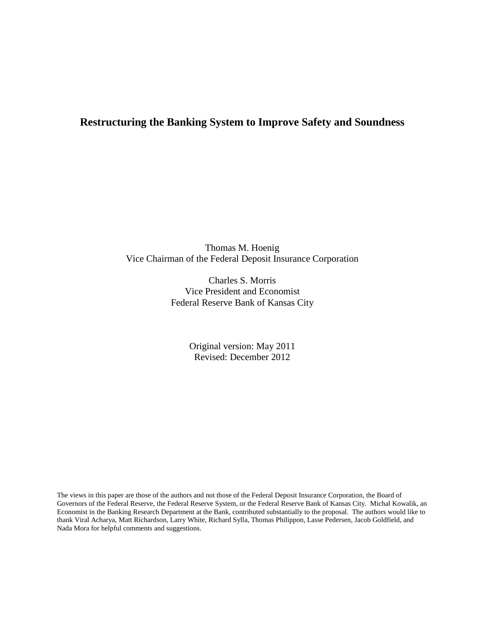# **Restructuring the Banking System to Improve Safety and Soundness**

Thomas M. Hoenig Vice Chairman of the Federal Deposit Insurance Corporation

> Charles S. Morris Vice President and Economist Federal Reserve Bank of Kansas City

> > Original version: May 2011 Revised: December 2012

The views in this paper are those of the authors and not those of the Federal Deposit Insurance Corporation, the Board of Governors of the Federal Reserve, the Federal Reserve System, or the Federal Reserve Bank of Kansas City. Michal Kowalik, an Economist in the Banking Research Department at the Bank, contributed substantially to the proposal. The authors would like to thank Viral Acharya, Matt Richardson, Larry White, Richard Sylla, Thomas Philippon, Lasse Pedersen, Jacob Goldfield, and Nada Mora for helpful comments and suggestions.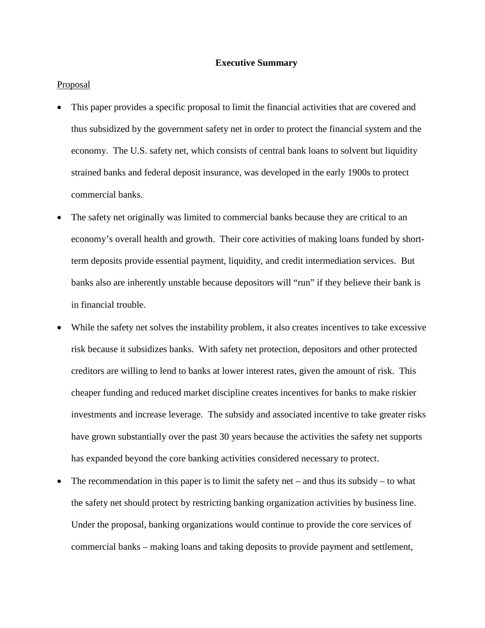#### **Executive Summary**

### Proposal

- This paper provides a specific proposal to limit the financial activities that are covered and thus subsidized by the government safety net in order to protect the financial system and the economy. The U.S. safety net, which consists of central bank loans to solvent but liquidity strained banks and federal deposit insurance, was developed in the early 1900s to protect commercial banks.
- The safety net originally was limited to commercial banks because they are critical to an economy's overall health and growth. Their core activities of making loans funded by shortterm deposits provide essential payment, liquidity, and credit intermediation services. But banks also are inherently unstable because depositors will "run" if they believe their bank is in financial trouble.
- While the safety net solves the instability problem, it also creates incentives to take excessive risk because it subsidizes banks. With safety net protection, depositors and other protected creditors are willing to lend to banks at lower interest rates, given the amount of risk. This cheaper funding and reduced market discipline creates incentives for banks to make riskier investments and increase leverage. The subsidy and associated incentive to take greater risks have grown substantially over the past 30 years because the activities the safety net supports has expanded beyond the core banking activities considered necessary to protect.
- The recommendation in this paper is to limit the safety net and thus its subsidy to what the safety net should protect by restricting banking organization activities by business line. Under the proposal, banking organizations would continue to provide the core services of commercial banks – making loans and taking deposits to provide payment and settlement,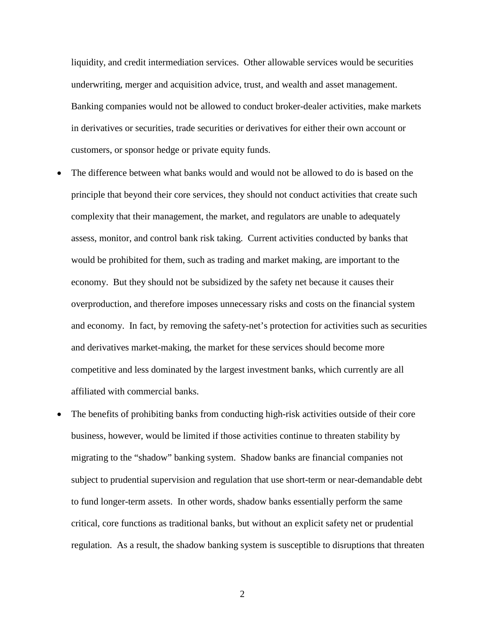liquidity, and credit intermediation services. Other allowable services would be securities underwriting, merger and acquisition advice, trust, and wealth and asset management. Banking companies would not be allowed to conduct broker-dealer activities, make markets in derivatives or securities, trade securities or derivatives for either their own account or customers, or sponsor hedge or private equity funds.

- The difference between what banks would and would not be allowed to do is based on the principle that beyond their core services, they should not conduct activities that create such complexity that their management, the market, and regulators are unable to adequately assess, monitor, and control bank risk taking. Current activities conducted by banks that would be prohibited for them, such as trading and market making, are important to the economy. But they should not be subsidized by the safety net because it causes their overproduction, and therefore imposes unnecessary risks and costs on the financial system and economy. In fact, by removing the safety-net's protection for activities such as securities and derivatives market-making, the market for these services should become more competitive and less dominated by the largest investment banks, which currently are all affiliated with commercial banks.
- The benefits of prohibiting banks from conducting high-risk activities outside of their core business, however, would be limited if those activities continue to threaten stability by migrating to the "shadow" banking system. Shadow banks are financial companies not subject to prudential supervision and regulation that use short-term or near-demandable debt to fund longer-term assets. In other words, shadow banks essentially perform the same critical, core functions as traditional banks, but without an explicit safety net or prudential regulation. As a result, the shadow banking system is susceptible to disruptions that threaten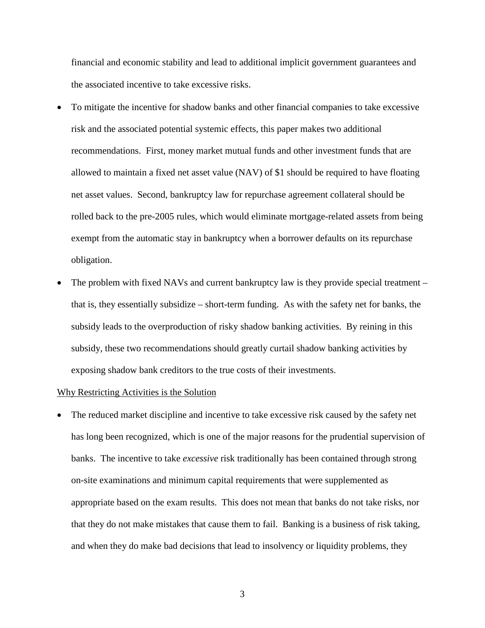financial and economic stability and lead to additional implicit government guarantees and the associated incentive to take excessive risks.

- To mitigate the incentive for shadow banks and other financial companies to take excessive risk and the associated potential systemic effects, this paper makes two additional recommendations. First, money market mutual funds and other investment funds that are allowed to maintain a fixed net asset value (NAV) of \$1 should be required to have floating net asset values. Second, bankruptcy law for repurchase agreement collateral should be rolled back to the pre-2005 rules, which would eliminate mortgage-related assets from being exempt from the automatic stay in bankruptcy when a borrower defaults on its repurchase obligation.
- The problem with fixed NAVs and current bankruptcy law is they provide special treatment that is, they essentially subsidize – short-term funding. As with the safety net for banks, the subsidy leads to the overproduction of risky shadow banking activities. By reining in this subsidy, these two recommendations should greatly curtail shadow banking activities by exposing shadow bank creditors to the true costs of their investments.

#### Why Restricting Activities is the Solution

• The reduced market discipline and incentive to take excessive risk caused by the safety net has long been recognized, which is one of the major reasons for the prudential supervision of banks. The incentive to take *excessive* risk traditionally has been contained through strong on-site examinations and minimum capital requirements that were supplemented as appropriate based on the exam results. This does not mean that banks do not take risks, nor that they do not make mistakes that cause them to fail. Banking is a business of risk taking, and when they do make bad decisions that lead to insolvency or liquidity problems, they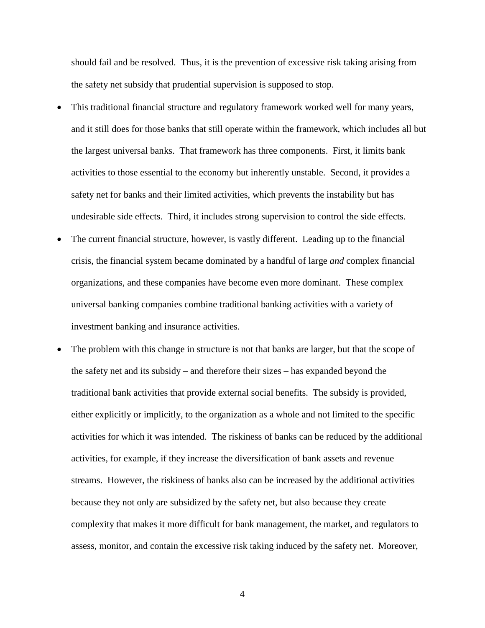should fail and be resolved. Thus, it is the prevention of excessive risk taking arising from the safety net subsidy that prudential supervision is supposed to stop.

- This traditional financial structure and regulatory framework worked well for many years, and it still does for those banks that still operate within the framework, which includes all but the largest universal banks. That framework has three components. First, it limits bank activities to those essential to the economy but inherently unstable. Second, it provides a safety net for banks and their limited activities, which prevents the instability but has undesirable side effects. Third, it includes strong supervision to control the side effects.
- The current financial structure, however, is vastly different. Leading up to the financial crisis, the financial system became dominated by a handful of large *and* complex financial organizations, and these companies have become even more dominant. These complex universal banking companies combine traditional banking activities with a variety of investment banking and insurance activities.
- The problem with this change in structure is not that banks are larger, but that the scope of the safety net and its subsidy – and therefore their sizes – has expanded beyond the traditional bank activities that provide external social benefits. The subsidy is provided, either explicitly or implicitly, to the organization as a whole and not limited to the specific activities for which it was intended. The riskiness of banks can be reduced by the additional activities, for example, if they increase the diversification of bank assets and revenue streams. However, the riskiness of banks also can be increased by the additional activities because they not only are subsidized by the safety net, but also because they create complexity that makes it more difficult for bank management, the market, and regulators to assess, monitor, and contain the excessive risk taking induced by the safety net. Moreover,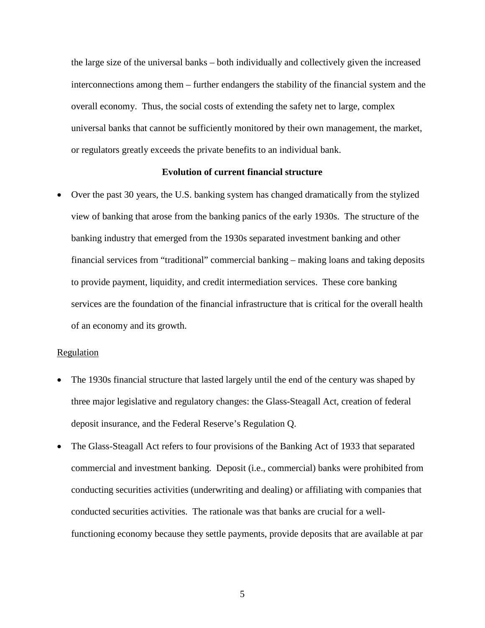the large size of the universal banks – both individually and collectively given the increased interconnections among them – further endangers the stability of the financial system and the overall economy. Thus, the social costs of extending the safety net to large, complex universal banks that cannot be sufficiently monitored by their own management, the market, or regulators greatly exceeds the private benefits to an individual bank.

# **Evolution of current financial structure**

• Over the past 30 years, the U.S. banking system has changed dramatically from the stylized view of banking that arose from the banking panics of the early 1930s. The structure of the banking industry that emerged from the 1930s separated investment banking and other financial services from "traditional" commercial banking – making loans and taking deposits to provide payment, liquidity, and credit intermediation services. These core banking services are the foundation of the financial infrastructure that is critical for the overall health of an economy and its growth.

### Regulation

- The 1930s financial structure that lasted largely until the end of the century was shaped by three major legislative and regulatory changes: the Glass-Steagall Act, creation of federal deposit insurance, and the Federal Reserve's Regulation Q.
- The Glass-Steagall Act refers to four provisions of the Banking Act of 1933 that separated commercial and investment banking. Deposit (i.e., commercial) banks were prohibited from conducting securities activities (underwriting and dealing) or affiliating with companies that conducted securities activities. The rationale was that banks are crucial for a wellfunctioning economy because they settle payments, provide deposits that are available at par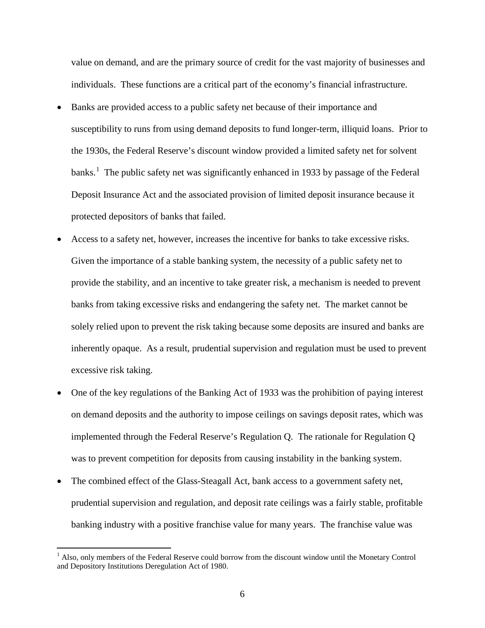value on demand, and are the primary source of credit for the vast majority of businesses and individuals. These functions are a critical part of the economy's financial infrastructure.

- Banks are provided access to a public safety net because of their importance and susceptibility to runs from using demand deposits to fund longer-term, illiquid loans. Prior to the 1930s, the Federal Reserve's discount window provided a limited safety net for solvent banks.<sup>[1](#page-6-0)</sup> The public safety net was significantly enhanced in 1933 by passage of the Federal Deposit Insurance Act and the associated provision of limited deposit insurance because it protected depositors of banks that failed.
- Access to a safety net, however, increases the incentive for banks to take excessive risks. Given the importance of a stable banking system, the necessity of a public safety net to provide the stability, and an incentive to take greater risk, a mechanism is needed to prevent banks from taking excessive risks and endangering the safety net. The market cannot be solely relied upon to prevent the risk taking because some deposits are insured and banks are inherently opaque. As a result, prudential supervision and regulation must be used to prevent excessive risk taking.
- One of the key regulations of the Banking Act of 1933 was the prohibition of paying interest on demand deposits and the authority to impose ceilings on savings deposit rates, which was implemented through the Federal Reserve's Regulation Q. The rationale for Regulation Q was to prevent competition for deposits from causing instability in the banking system.
- The combined effect of the Glass-Steagall Act, bank access to a government safety net, prudential supervision and regulation, and deposit rate ceilings was a fairly stable, profitable banking industry with a positive franchise value for many years. The franchise value was

<span id="page-6-0"></span> $<sup>1</sup>$  Also, only members of the Federal Reserve could borrow from the discount window until the Monetary Control</sup> and Depository Institutions Deregulation Act of 1980.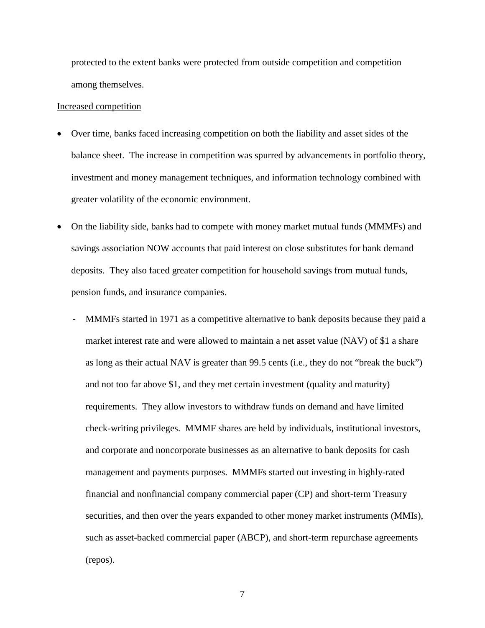protected to the extent banks were protected from outside competition and competition among themselves.

# Increased competition

- Over time, banks faced increasing competition on both the liability and asset sides of the balance sheet. The increase in competition was spurred by advancements in portfolio theory, investment and money management techniques, and information technology combined with greater volatility of the economic environment.
- On the liability side, banks had to compete with money market mutual funds (MMMFs) and savings association NOW accounts that paid interest on close substitutes for bank demand deposits. They also faced greater competition for household savings from mutual funds, pension funds, and insurance companies.
	- MMMFs started in 1971 as a competitive alternative to bank deposits because they paid a market interest rate and were allowed to maintain a net asset value (NAV) of \$1 a share as long as their actual NAV is greater than 99.5 cents (i.e., they do not "break the buck") and not too far above \$1, and they met certain investment (quality and maturity) requirements. They allow investors to withdraw funds on demand and have limited check-writing privileges. MMMF shares are held by individuals, institutional investors, and corporate and noncorporate businesses as an alternative to bank deposits for cash management and payments purposes. MMMFs started out investing in highly-rated financial and nonfinancial company commercial paper (CP) and short-term Treasury securities, and then over the years expanded to other money market instruments (MMIs), such as asset-backed commercial paper (ABCP), and short-term repurchase agreements (repos).
		- 7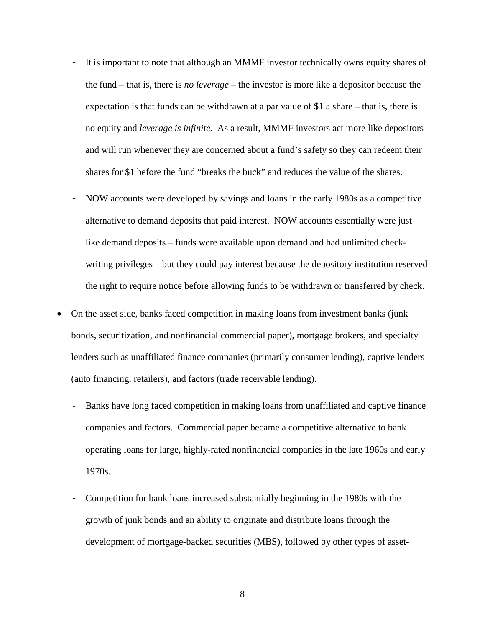- It is important to note that although an MMMF investor technically owns equity shares of the fund – that is, there is *no leverage* – the investor is more like a depositor because the expectation is that funds can be withdrawn at a par value of \$1 a share – that is, there is no equity and *leverage is infinite*. As a result, MMMF investors act more like depositors and will run whenever they are concerned about a fund's safety so they can redeem their shares for \$1 before the fund "breaks the buck" and reduces the value of the shares.
- NOW accounts were developed by savings and loans in the early 1980s as a competitive alternative to demand deposits that paid interest. NOW accounts essentially were just like demand deposits – funds were available upon demand and had unlimited checkwriting privileges – but they could pay interest because the depository institution reserved the right to require notice before allowing funds to be withdrawn or transferred by check.
- On the asset side, banks faced competition in making loans from investment banks (junk bonds, securitization, and nonfinancial commercial paper), mortgage brokers, and specialty lenders such as unaffiliated finance companies (primarily consumer lending), captive lenders (auto financing, retailers), and factors (trade receivable lending).
	- Banks have long faced competition in making loans from unaffiliated and captive finance companies and factors. Commercial paper became a competitive alternative to bank operating loans for large, highly-rated nonfinancial companies in the late 1960s and early 1970s.
	- Competition for bank loans increased substantially beginning in the 1980s with the growth of junk bonds and an ability to originate and distribute loans through the development of mortgage-backed securities (MBS), followed by other types of asset-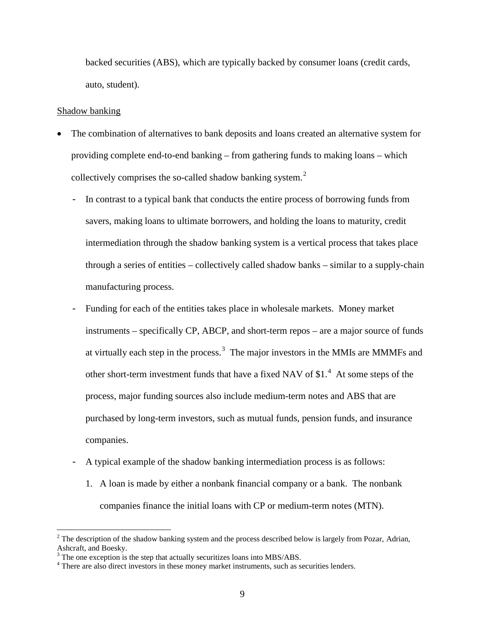backed securities (ABS), which are typically backed by consumer loans (credit cards, auto, student).

#### Shadow banking

- The combination of alternatives to bank deposits and loans created an alternative system for providing complete end-to-end banking – from gathering funds to making loans – which collectively comprises the so-called shadow banking system.<sup>[2](#page-9-0)</sup>
	- In contrast to a typical bank that conducts the entire process of borrowing funds from savers, making loans to ultimate borrowers, and holding the loans to maturity, credit intermediation through the shadow banking system is a vertical process that takes place through a series of entities – collectively called shadow banks – similar to a supply-chain manufacturing process.
	- Funding for each of the entities takes place in wholesale markets. Money market instruments – specifically CP, ABCP, and short-term repos – are a major source of funds at virtually each step in the process.<sup>[3](#page-9-1)</sup> The major investors in the MMIs are MMMFs and other short-term investment funds that have a fixed NAV of  $$1<sup>4</sup>$  $$1<sup>4</sup>$  $$1<sup>4</sup>$  At some steps of the process, major funding sources also include medium-term notes and ABS that are purchased by long-term investors, such as mutual funds, pension funds, and insurance companies.
	- A typical example of the shadow banking intermediation process is as follows:
		- 1. A loan is made by either a nonbank financial company or a bank. The nonbank companies finance the initial loans with CP or medium-term notes (MTN).

<span id="page-9-0"></span> $2^2$  The description of the shadow banking system and the process described below is largely from Pozar, Adrian, Ashcraft, and Boesky.

 $\frac{3}{3}$  The one exception is the step that actually securitizes loans into MBS/ABS.

<span id="page-9-2"></span><span id="page-9-1"></span><sup>&</sup>lt;sup>4</sup> There are also direct investors in these money market instruments, such as securities lenders.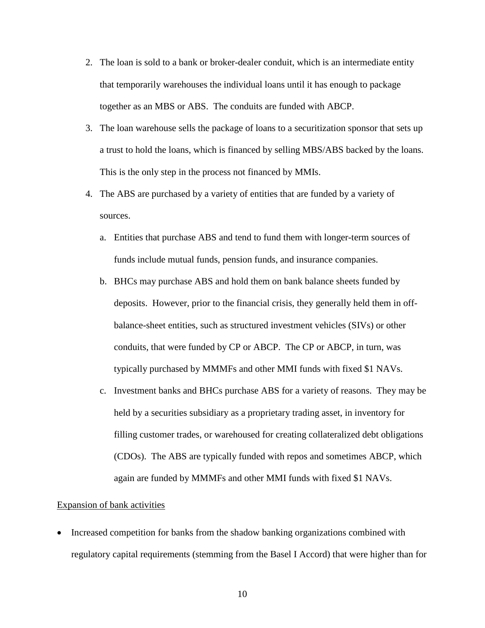- 2. The loan is sold to a bank or broker-dealer conduit, which is an intermediate entity that temporarily warehouses the individual loans until it has enough to package together as an MBS or ABS. The conduits are funded with ABCP.
- 3. The loan warehouse sells the package of loans to a securitization sponsor that sets up a trust to hold the loans, which is financed by selling MBS/ABS backed by the loans. This is the only step in the process not financed by MMIs.
- 4. The ABS are purchased by a variety of entities that are funded by a variety of sources.
	- a. Entities that purchase ABS and tend to fund them with longer-term sources of funds include mutual funds, pension funds, and insurance companies.
	- b. BHCs may purchase ABS and hold them on bank balance sheets funded by deposits. However, prior to the financial crisis, they generally held them in offbalance-sheet entities, such as structured investment vehicles (SIVs) or other conduits, that were funded by CP or ABCP. The CP or ABCP, in turn, was typically purchased by MMMFs and other MMI funds with fixed \$1 NAVs.
	- c. Investment banks and BHCs purchase ABS for a variety of reasons. They may be held by a securities subsidiary as a proprietary trading asset, in inventory for filling customer trades, or warehoused for creating collateralized debt obligations (CDOs). The ABS are typically funded with repos and sometimes ABCP, which again are funded by MMMFs and other MMI funds with fixed \$1 NAVs.

# Expansion of bank activities

• Increased competition for banks from the shadow banking organizations combined with regulatory capital requirements (stemming from the Basel I Accord) that were higher than for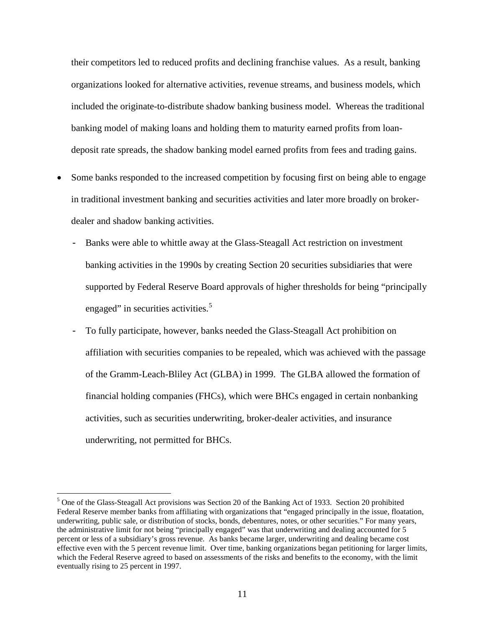their competitors led to reduced profits and declining franchise values. As a result, banking organizations looked for alternative activities, revenue streams, and business models, which included the originate-to-distribute shadow banking business model. Whereas the traditional banking model of making loans and holding them to maturity earned profits from loandeposit rate spreads, the shadow banking model earned profits from fees and trading gains.

- Some banks responded to the increased competition by focusing first on being able to engage in traditional investment banking and securities activities and later more broadly on brokerdealer and shadow banking activities.
	- Banks were able to whittle away at the Glass-Steagall Act restriction on investment banking activities in the 1990s by creating Section 20 securities subsidiaries that were supported by Federal Reserve Board approvals of higher thresholds for being "principally engaged" in securities activities.<sup>[5](#page-11-0)</sup>
	- To fully participate, however, banks needed the Glass-Steagall Act prohibition on affiliation with securities companies to be repealed, which was achieved with the passage of the Gramm-Leach-Bliley Act (GLBA) in 1999. The GLBA allowed the formation of financial holding companies (FHCs), which were BHCs engaged in certain nonbanking activities, such as securities underwriting, broker-dealer activities, and insurance underwriting, not permitted for BHCs.

<span id="page-11-0"></span><sup>&</sup>lt;sup>5</sup> One of the Glass-Steagall Act provisions was Section 20 of the Banking Act of 1933. Section 20 prohibited Federal Reserve member banks from affiliating with organizations that "engaged principally in the issue, floatation, underwriting, public sale, or distribution of stocks, bonds, debentures, notes, or other securities." For many years, the administrative limit for not being "principally engaged" was that underwriting and dealing accounted for 5 percent or less of a subsidiary's gross revenue. As banks became larger, underwriting and dealing became cost effective even with the 5 percent revenue limit. Over time, banking organizations began petitioning for larger limits, which the Federal Reserve agreed to based on assessments of the risks and benefits to the economy, with the limit eventually rising to 25 percent in 1997.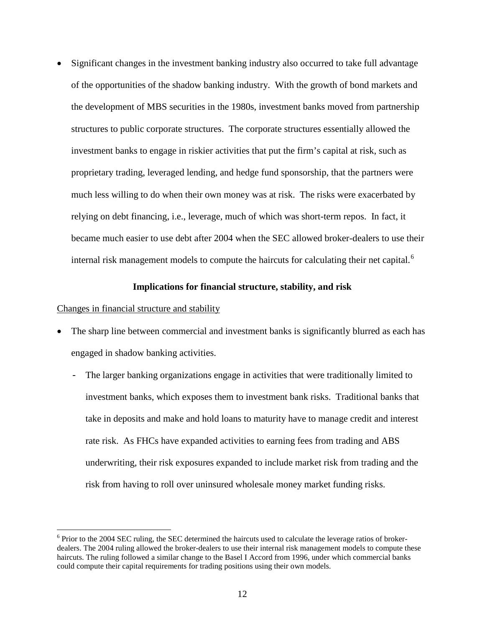• Significant changes in the investment banking industry also occurred to take full advantage of the opportunities of the shadow banking industry. With the growth of bond markets and the development of MBS securities in the 1980s, investment banks moved from partnership structures to public corporate structures. The corporate structures essentially allowed the investment banks to engage in riskier activities that put the firm's capital at risk, such as proprietary trading, leveraged lending, and hedge fund sponsorship, that the partners were much less willing to do when their own money was at risk. The risks were exacerbated by relying on debt financing, i.e., leverage, much of which was short-term repos. In fact, it became much easier to use debt after 2004 when the SEC allowed broker-dealers to use their internal risk management models to compute the haircuts for calculating their net capital.<sup>[6](#page-12-0)</sup>

# **Implications for financial structure, stability, and risk**

# Changes in financial structure and stability

- The sharp line between commercial and investment banks is significantly blurred as each has engaged in shadow banking activities.
	- The larger banking organizations engage in activities that were traditionally limited to investment banks, which exposes them to investment bank risks. Traditional banks that take in deposits and make and hold loans to maturity have to manage credit and interest rate risk. As FHCs have expanded activities to earning fees from trading and ABS underwriting, their risk exposures expanded to include market risk from trading and the risk from having to roll over uninsured wholesale money market funding risks.

<span id="page-12-0"></span> <sup>6</sup> Prior to the 2004 SEC ruling, the SEC determined the haircuts used to calculate the leverage ratios of brokerdealers. The 2004 ruling allowed the broker-dealers to use their internal risk management models to compute these haircuts. The ruling followed a similar change to the Basel I Accord from 1996, under which commercial banks could compute their capital requirements for trading positions using their own models.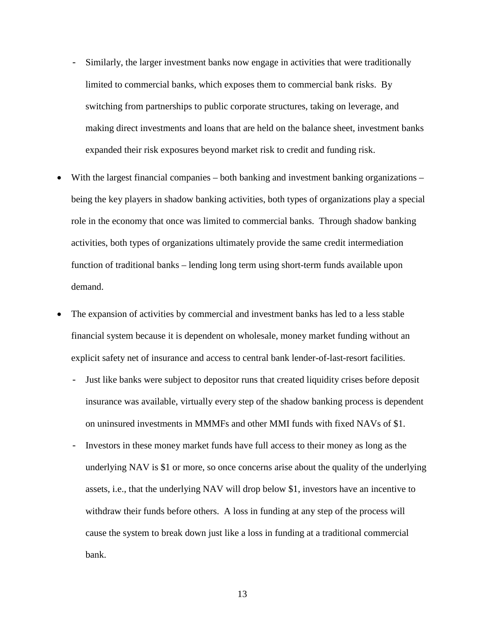- Similarly, the larger investment banks now engage in activities that were traditionally limited to commercial banks, which exposes them to commercial bank risks. By switching from partnerships to public corporate structures, taking on leverage, and making direct investments and loans that are held on the balance sheet, investment banks expanded their risk exposures beyond market risk to credit and funding risk.
- With the largest financial companies both banking and investment banking organizations being the key players in shadow banking activities, both types of organizations play a special role in the economy that once was limited to commercial banks. Through shadow banking activities, both types of organizations ultimately provide the same credit intermediation function of traditional banks – lending long term using short-term funds available upon demand.
- The expansion of activities by commercial and investment banks has led to a less stable financial system because it is dependent on wholesale, money market funding without an explicit safety net of insurance and access to central bank lender-of-last-resort facilities.
	- Just like banks were subject to depositor runs that created liquidity crises before deposit insurance was available, virtually every step of the shadow banking process is dependent on uninsured investments in MMMFs and other MMI funds with fixed NAVs of \$1.
	- Investors in these money market funds have full access to their money as long as the underlying NAV is \$1 or more, so once concerns arise about the quality of the underlying assets, i.e., that the underlying NAV will drop below \$1, investors have an incentive to withdraw their funds before others. A loss in funding at any step of the process will cause the system to break down just like a loss in funding at a traditional commercial bank.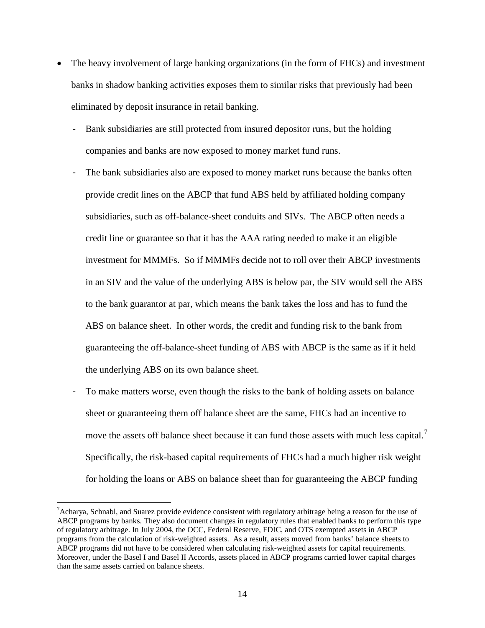- The heavy involvement of large banking organizations (in the form of FHCs) and investment banks in shadow banking activities exposes them to similar risks that previously had been eliminated by deposit insurance in retail banking.
	- Bank subsidiaries are still protected from insured depositor runs, but the holding companies and banks are now exposed to money market fund runs.
	- The bank subsidiaries also are exposed to money market runs because the banks often provide credit lines on the ABCP that fund ABS held by affiliated holding company subsidiaries, such as off-balance-sheet conduits and SIVs. The ABCP often needs a credit line or guarantee so that it has the AAA rating needed to make it an eligible investment for MMMFs. So if MMMFs decide not to roll over their ABCP investments in an SIV and the value of the underlying ABS is below par, the SIV would sell the ABS to the bank guarantor at par, which means the bank takes the loss and has to fund the ABS on balance sheet. In other words, the credit and funding risk to the bank from guaranteeing the off-balance-sheet funding of ABS with ABCP is the same as if it held the underlying ABS on its own balance sheet.
	- To make matters worse, even though the risks to the bank of holding assets on balance sheet or guaranteeing them off balance sheet are the same, FHCs had an incentive to move the assets off balance sheet because it can fund those assets with much less capital.<sup>[7](#page-14-0)</sup> Specifically, the risk-based capital requirements of FHCs had a much higher risk weight for holding the loans or ABS on balance sheet than for guaranteeing the ABCP funding

<span id="page-14-0"></span><sup>-&</sup>lt;br>7  $A<sup>7</sup>$ Acharya, Schnabl, and Suarez provide evidence consistent with regulatory arbitrage being a reason for the use of ABCP programs by banks. They also document changes in regulatory rules that enabled banks to perform this type of regulatory arbitrage. In July 2004, the OCC, Federal Reserve, FDIC, and OTS exempted assets in ABCP programs from the calculation of risk-weighted assets. As a result, assets moved from banks' balance sheets to ABCP programs did not have to be considered when calculating risk-weighted assets for capital requirements. Moreover, under the Basel I and Basel II Accords, assets placed in ABCP programs carried lower capital charges than the same assets carried on balance sheets.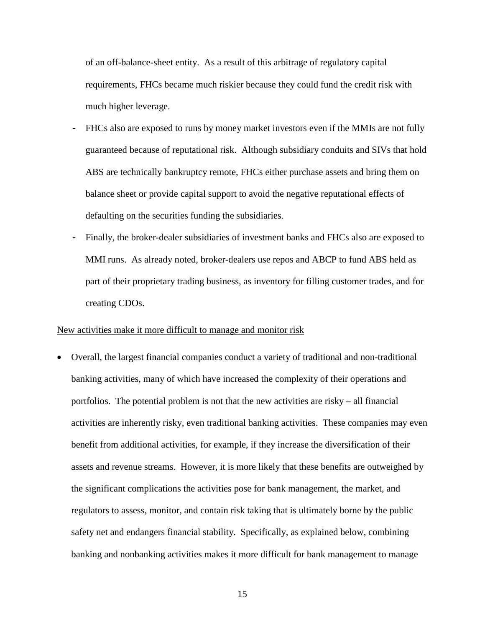of an off-balance-sheet entity. As a result of this arbitrage of regulatory capital requirements, FHCs became much riskier because they could fund the credit risk with much higher leverage.

- FHCs also are exposed to runs by money market investors even if the MMIs are not fully guaranteed because of reputational risk. Although subsidiary conduits and SIVs that hold ABS are technically bankruptcy remote, FHCs either purchase assets and bring them on balance sheet or provide capital support to avoid the negative reputational effects of defaulting on the securities funding the subsidiaries.
- Finally, the broker-dealer subsidiaries of investment banks and FHCs also are exposed to MMI runs. As already noted, broker-dealers use repos and ABCP to fund ABS held as part of their proprietary trading business, as inventory for filling customer trades, and for creating CDOs.

#### New activities make it more difficult to manage and monitor risk

• Overall, the largest financial companies conduct a variety of traditional and non-traditional banking activities, many of which have increased the complexity of their operations and portfolios. The potential problem is not that the new activities are risky – all financial activities are inherently risky, even traditional banking activities. These companies may even benefit from additional activities, for example, if they increase the diversification of their assets and revenue streams. However, it is more likely that these benefits are outweighed by the significant complications the activities pose for bank management, the market, and regulators to assess, monitor, and contain risk taking that is ultimately borne by the public safety net and endangers financial stability. Specifically, as explained below, combining banking and nonbanking activities makes it more difficult for bank management to manage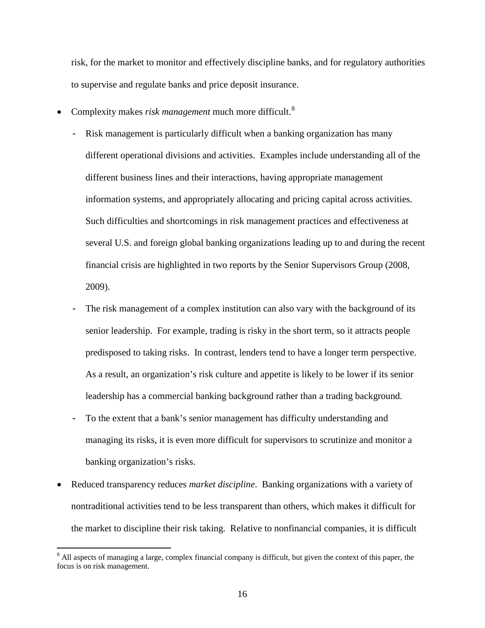risk, for the market to monitor and effectively discipline banks, and for regulatory authorities to supervise and regulate banks and price deposit insurance.

- Complexity makes *risk management* much more difficult.[8](#page-16-0)
	- Risk management is particularly difficult when a banking organization has many different operational divisions and activities. Examples include understanding all of the different business lines and their interactions, having appropriate management information systems, and appropriately allocating and pricing capital across activities. Such difficulties and shortcomings in risk management practices and effectiveness at several U.S. and foreign global banking organizations leading up to and during the recent financial crisis are highlighted in two reports by the Senior Supervisors Group (2008, 2009).
	- The risk management of a complex institution can also vary with the background of its senior leadership. For example, trading is risky in the short term, so it attracts people predisposed to taking risks. In contrast, lenders tend to have a longer term perspective. As a result, an organization's risk culture and appetite is likely to be lower if its senior leadership has a commercial banking background rather than a trading background.
	- To the extent that a bank's senior management has difficulty understanding and managing its risks, it is even more difficult for supervisors to scrutinize and monitor a banking organization's risks.
- Reduced transparency reduces *market discipline*. Banking organizations with a variety of nontraditional activities tend to be less transparent than others, which makes it difficult for the market to discipline their risk taking. Relative to nonfinancial companies, it is difficult

<span id="page-16-0"></span><sup>&</sup>lt;sup>8</sup> All aspects of managing a large, complex financial company is difficult, but given the context of this paper, the focus is on risk management.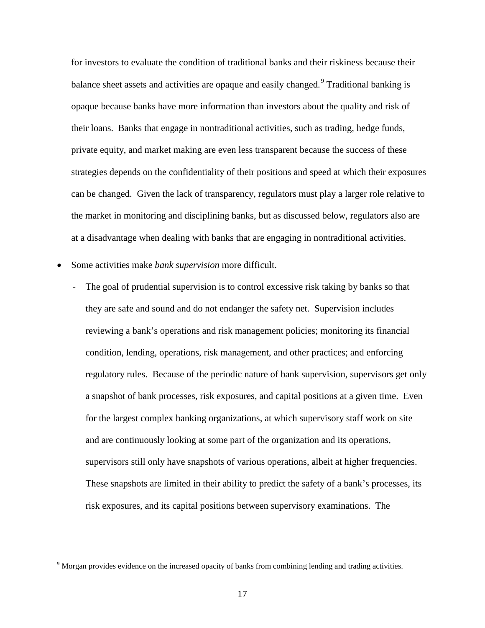for investors to evaluate the condition of traditional banks and their riskiness because their balance sheet assets and activities are opaque and easily changed. <sup>[9](#page-17-0)</sup> Traditional banking is opaque because banks have more information than investors about the quality and risk of their loans. Banks that engage in nontraditional activities, such as trading, hedge funds, private equity, and market making are even less transparent because the success of these strategies depends on the confidentiality of their positions and speed at which their exposures can be changed. Given the lack of transparency, regulators must play a larger role relative to the market in monitoring and disciplining banks, but as discussed below, regulators also are at a disadvantage when dealing with banks that are engaging in nontraditional activities.

- Some activities make *bank supervision* more difficult.
	- The goal of prudential supervision is to control excessive risk taking by banks so that they are safe and sound and do not endanger the safety net. Supervision includes reviewing a bank's operations and risk management policies; monitoring its financial condition, lending, operations, risk management, and other practices; and enforcing regulatory rules. Because of the periodic nature of bank supervision, supervisors get only a snapshot of bank processes, risk exposures, and capital positions at a given time. Even for the largest complex banking organizations, at which supervisory staff work on site and are continuously looking at some part of the organization and its operations, supervisors still only have snapshots of various operations, albeit at higher frequencies. These snapshots are limited in their ability to predict the safety of a bank's processes, its risk exposures, and its capital positions between supervisory examinations. The

<span id="page-17-0"></span><sup>&</sup>lt;sup>9</sup> Morgan provides evidence on the increased opacity of banks from combining lending and trading activities.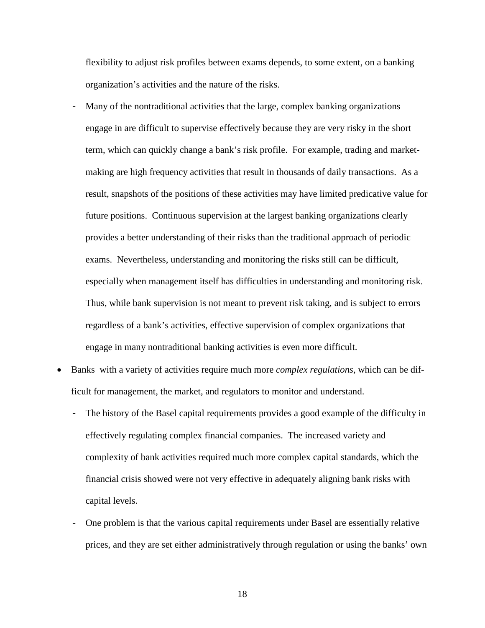flexibility to adjust risk profiles between exams depends, to some extent, on a banking organization's activities and the nature of the risks.

- Many of the nontraditional activities that the large, complex banking organizations engage in are difficult to supervise effectively because they are very risky in the short term, which can quickly change a bank's risk profile. For example, trading and marketmaking are high frequency activities that result in thousands of daily transactions. As a result, snapshots of the positions of these activities may have limited predicative value for future positions. Continuous supervision at the largest banking organizations clearly provides a better understanding of their risks than the traditional approach of periodic exams. Nevertheless, understanding and monitoring the risks still can be difficult, especially when management itself has difficulties in understanding and monitoring risk. Thus, while bank supervision is not meant to prevent risk taking, and is subject to errors regardless of a bank's activities, effective supervision of complex organizations that engage in many nontraditional banking activities is even more difficult.
- Banks with a variety of activities require much more *complex regulations*, which can be difficult for management, the market, and regulators to monitor and understand.
	- The history of the Basel capital requirements provides a good example of the difficulty in effectively regulating complex financial companies. The increased variety and complexity of bank activities required much more complex capital standards, which the financial crisis showed were not very effective in adequately aligning bank risks with capital levels.
	- One problem is that the various capital requirements under Basel are essentially relative prices, and they are set either administratively through regulation or using the banks' own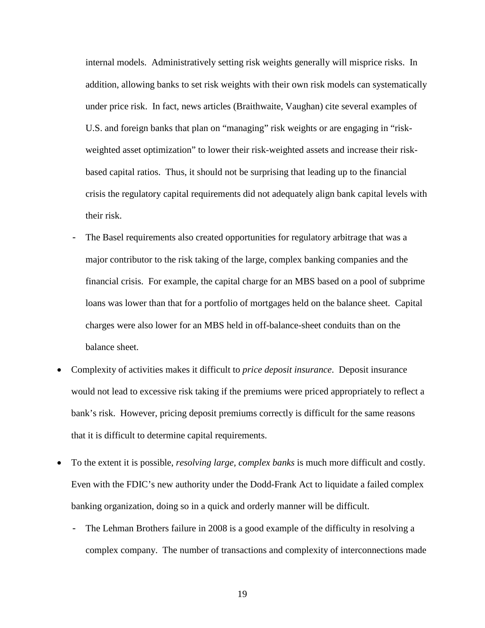internal models. Administratively setting risk weights generally will misprice risks. In addition, allowing banks to set risk weights with their own risk models can systematically under price risk. In fact, news articles (Braithwaite, Vaughan) cite several examples of U.S. and foreign banks that plan on "managing" risk weights or are engaging in "riskweighted asset optimization" to lower their risk-weighted assets and increase their riskbased capital ratios. Thus, it should not be surprising that leading up to the financial crisis the regulatory capital requirements did not adequately align bank capital levels with their risk.

- The Basel requirements also created opportunities for regulatory arbitrage that was a major contributor to the risk taking of the large, complex banking companies and the financial crisis. For example, the capital charge for an MBS based on a pool of subprime loans was lower than that for a portfolio of mortgages held on the balance sheet. Capital charges were also lower for an MBS held in off-balance-sheet conduits than on the balance sheet.
- Complexity of activities makes it difficult to *price deposit insurance*. Deposit insurance would not lead to excessive risk taking if the premiums were priced appropriately to reflect a bank's risk. However, pricing deposit premiums correctly is difficult for the same reasons that it is difficult to determine capital requirements.
- To the extent it is possible, *resolving large, complex banks* is much more difficult and costly. Even with the FDIC's new authority under the Dodd-Frank Act to liquidate a failed complex banking organization, doing so in a quick and orderly manner will be difficult.
	- The Lehman Brothers failure in 2008 is a good example of the difficulty in resolving a complex company. The number of transactions and complexity of interconnections made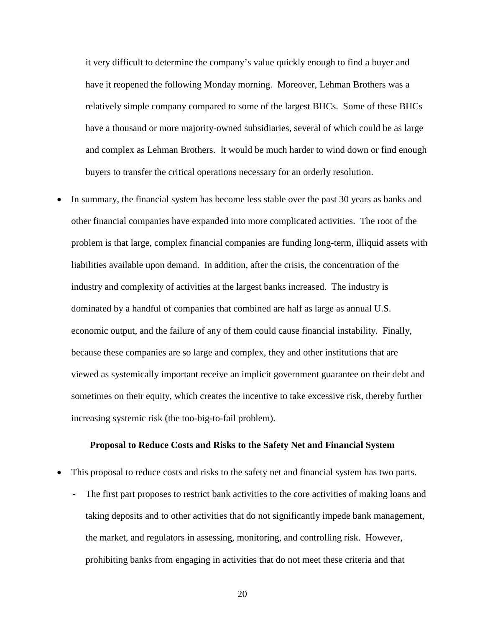it very difficult to determine the company's value quickly enough to find a buyer and have it reopened the following Monday morning. Moreover, Lehman Brothers was a relatively simple company compared to some of the largest BHCs. Some of these BHCs have a thousand or more majority-owned subsidiaries, several of which could be as large and complex as Lehman Brothers. It would be much harder to wind down or find enough buyers to transfer the critical operations necessary for an orderly resolution.

• In summary, the financial system has become less stable over the past 30 years as banks and other financial companies have expanded into more complicated activities. The root of the problem is that large, complex financial companies are funding long-term, illiquid assets with liabilities available upon demand. In addition, after the crisis, the concentration of the industry and complexity of activities at the largest banks increased. The industry is dominated by a handful of companies that combined are half as large as annual U.S. economic output, and the failure of any of them could cause financial instability. Finally, because these companies are so large and complex, they and other institutions that are viewed as systemically important receive an implicit government guarantee on their debt and sometimes on their equity, which creates the incentive to take excessive risk, thereby further increasing systemic risk (the too-big-to-fail problem).

# **Proposal to Reduce Costs and Risks to the Safety Net and Financial System**

- This proposal to reduce costs and risks to the safety net and financial system has two parts.
	- The first part proposes to restrict bank activities to the core activities of making loans and taking deposits and to other activities that do not significantly impede bank management, the market, and regulators in assessing, monitoring, and controlling risk. However, prohibiting banks from engaging in activities that do not meet these criteria and that
		- 20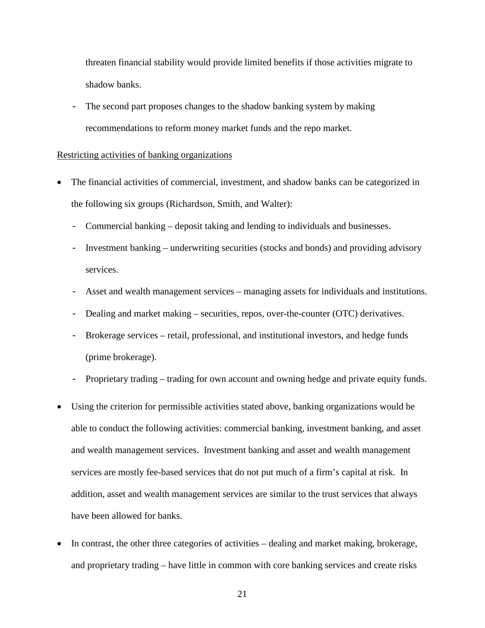threaten financial stability would provide limited benefits if those activities migrate to shadow banks.

- The second part proposes changes to the shadow banking system by making recommendations to reform money market funds and the repo market.

#### Restricting activities of banking organizations

- The financial activities of commercial, investment, and shadow banks can be categorized in the following six groups (Richardson, Smith, and Walter):
	- Commercial banking deposit taking and lending to individuals and businesses.
	- Investment banking underwriting securities (stocks and bonds) and providing advisory services.
	- Asset and wealth management services managing assets for individuals and institutions.
	- Dealing and market making securities, repos, over-the-counter (OTC) derivatives.
	- Brokerage services retail, professional, and institutional investors, and hedge funds (prime brokerage).
	- Proprietary trading trading for own account and owning hedge and private equity funds.
- Using the criterion for permissible activities stated above, banking organizations would be able to conduct the following activities: commercial banking, investment banking, and asset and wealth management services. Investment banking and asset and wealth management services are mostly fee-based services that do not put much of a firm's capital at risk. In addition, asset and wealth management services are similar to the trust services that always have been allowed for banks.
- In contrast, the other three categories of activities dealing and market making, brokerage, and proprietary trading – have little in common with core banking services and create risks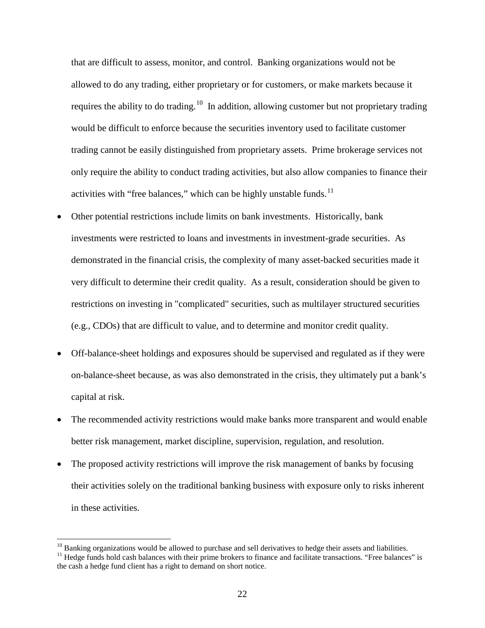that are difficult to assess, monitor, and control. Banking organizations would not be allowed to do any trading, either proprietary or for customers, or make markets because it requires the ability to do trading.<sup>[10](#page-22-0)</sup> In addition, allowing customer but not proprietary trading would be difficult to enforce because the securities inventory used to facilitate customer trading cannot be easily distinguished from proprietary assets. Prime brokerage services not only require the ability to conduct trading activities, but also allow companies to finance their activities with "free balances," which can be highly unstable funds.<sup>[11](#page-22-1)</sup>

- Other potential restrictions include limits on bank investments. Historically, bank investments were restricted to loans and investments in investment-grade securities. As demonstrated in the financial crisis, the complexity of many asset-backed securities made it very difficult to determine their credit quality. As a result, consideration should be given to restrictions on investing in "complicated" securities, such as multilayer structured securities (e.g., CDOs) that are difficult to value, and to determine and monitor credit quality.
- Off-balance-sheet holdings and exposures should be supervised and regulated as if they were on-balance-sheet because, as was also demonstrated in the crisis, they ultimately put a bank's capital at risk.
- The recommended activity restrictions would make banks more transparent and would enable better risk management, market discipline, supervision, regulation, and resolution.
- The proposed activity restrictions will improve the risk management of banks by focusing their activities solely on the traditional banking business with exposure only to risks inherent in these activities.

<span id="page-22-0"></span> $^{10}$  Banking organizations would be allowed to purchase and sell derivatives to hedge their assets and liabilities.<br> $^{11}$  Hedge funds hold cash balances with their prime brokers to finance and facilitate transactions.

<span id="page-22-1"></span>the cash a hedge fund client has a right to demand on short notice.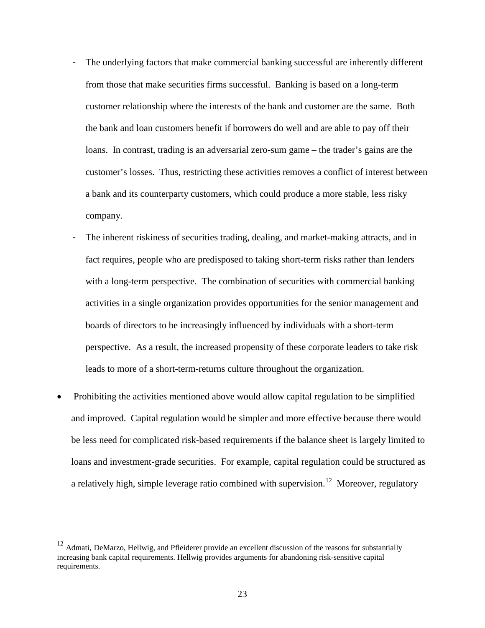- The underlying factors that make commercial banking successful are inherently different from those that make securities firms successful. Banking is based on a long-term customer relationship where the interests of the bank and customer are the same. Both the bank and loan customers benefit if borrowers do well and are able to pay off their loans. In contrast, trading is an adversarial zero-sum game – the trader's gains are the customer's losses. Thus, restricting these activities removes a conflict of interest between a bank and its counterparty customers, which could produce a more stable, less risky company.
- The inherent riskiness of securities trading, dealing, and market-making attracts, and in fact requires, people who are predisposed to taking short-term risks rather than lenders with a long-term perspective. The combination of securities with commercial banking activities in a single organization provides opportunities for the senior management and boards of directors to be increasingly influenced by individuals with a short-term perspective. As a result, the increased propensity of these corporate leaders to take risk leads to more of a short-term-returns culture throughout the organization.
- Prohibiting the activities mentioned above would allow capital regulation to be simplified and improved. Capital regulation would be simpler and more effective because there would be less need for complicated risk-based requirements if the balance sheet is largely limited to loans and investment-grade securities. For example, capital regulation could be structured as a relatively high, simple leverage ratio combined with supervision.<sup>[12](#page-23-0)</sup> Moreover, regulatory

<span id="page-23-0"></span><sup>&</sup>lt;sup>12</sup> Admati, DeMarzo, Hellwig, and Pfleiderer provide an excellent discussion of the reasons for substantially increasing bank capital requirements. Hellwig provides arguments for abandoning risk-sensitive capital requirements.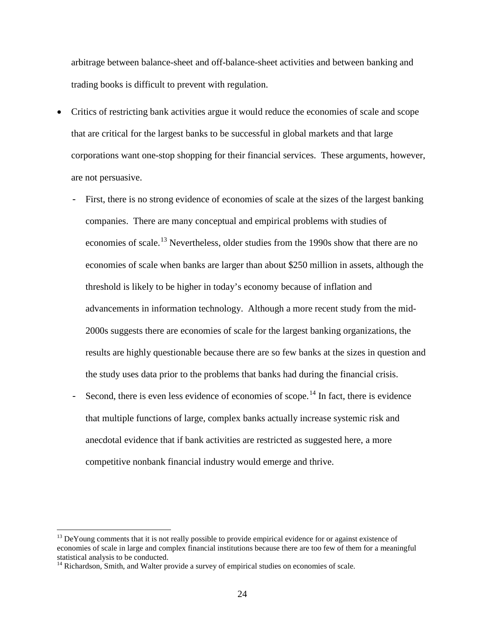arbitrage between balance-sheet and off-balance-sheet activities and between banking and trading books is difficult to prevent with regulation.

- Critics of restricting bank activities argue it would reduce the economies of scale and scope that are critical for the largest banks to be successful in global markets and that large corporations want one-stop shopping for their financial services. These arguments, however, are not persuasive.
	- First, there is no strong evidence of economies of scale at the sizes of the largest banking companies. There are many conceptual and empirical problems with studies of economies of scale.<sup>[13](#page-24-0)</sup> Nevertheless, older studies from the 1990s show that there are no economies of scale when banks are larger than about \$250 million in assets, although the threshold is likely to be higher in today's economy because of inflation and advancements in information technology. Although a more recent study from the mid-2000s suggests there are economies of scale for the largest banking organizations, the results are highly questionable because there are so few banks at the sizes in question and the study uses data prior to the problems that banks had during the financial crisis.
	- Second, there is even less evidence of economies of scope.<sup>[14](#page-24-1)</sup> In fact, there is evidence that multiple functions of large, complex banks actually increase systemic risk and anecdotal evidence that if bank activities are restricted as suggested here, a more competitive nonbank financial industry would emerge and thrive.

<span id="page-24-0"></span> $<sup>13</sup>$  DeYoung comments that it is not really possible to provide empirical evidence for or against existence of</sup> economies of scale in large and complex financial institutions because there are too few of them for a meaningful statistical analysis to be conducted.

<span id="page-24-1"></span><sup>&</sup>lt;sup>14</sup> Richardson, Smith, and Walter provide a survey of empirical studies on economies of scale.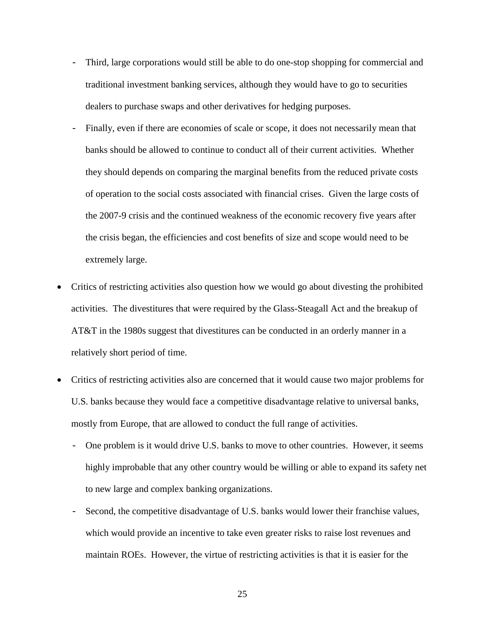- Third, large corporations would still be able to do one-stop shopping for commercial and traditional investment banking services, although they would have to go to securities dealers to purchase swaps and other derivatives for hedging purposes.
- Finally, even if there are economies of scale or scope, it does not necessarily mean that banks should be allowed to continue to conduct all of their current activities. Whether they should depends on comparing the marginal benefits from the reduced private costs of operation to the social costs associated with financial crises. Given the large costs of the 2007-9 crisis and the continued weakness of the economic recovery five years after the crisis began, the efficiencies and cost benefits of size and scope would need to be extremely large.
- Critics of restricting activities also question how we would go about divesting the prohibited activities. The divestitures that were required by the Glass-Steagall Act and the breakup of AT&T in the 1980s suggest that divestitures can be conducted in an orderly manner in a relatively short period of time.
- Critics of restricting activities also are concerned that it would cause two major problems for U.S. banks because they would face a competitive disadvantage relative to universal banks, mostly from Europe, that are allowed to conduct the full range of activities.
	- One problem is it would drive U.S. banks to move to other countries. However, it seems highly improbable that any other country would be willing or able to expand its safety net to new large and complex banking organizations.
	- Second, the competitive disadvantage of U.S. banks would lower their franchise values, which would provide an incentive to take even greater risks to raise lost revenues and maintain ROEs. However, the virtue of restricting activities is that it is easier for the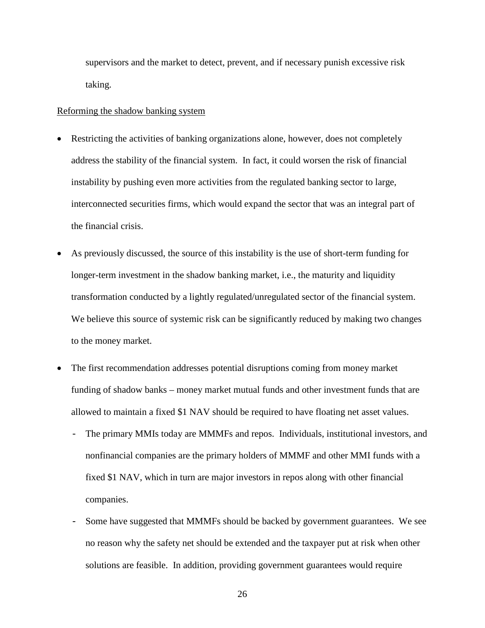supervisors and the market to detect, prevent, and if necessary punish excessive risk taking.

# Reforming the shadow banking system

- Restricting the activities of banking organizations alone, however, does not completely address the stability of the financial system. In fact, it could worsen the risk of financial instability by pushing even more activities from the regulated banking sector to large, interconnected securities firms, which would expand the sector that was an integral part of the financial crisis.
- As previously discussed, the source of this instability is the use of short-term funding for longer-term investment in the shadow banking market, i.e., the maturity and liquidity transformation conducted by a lightly regulated/unregulated sector of the financial system. We believe this source of systemic risk can be significantly reduced by making two changes to the money market.
- The first recommendation addresses potential disruptions coming from money market funding of shadow banks – money market mutual funds and other investment funds that are allowed to maintain a fixed \$1 NAV should be required to have floating net asset values.
	- The primary MMIs today are MMMFs and repos. Individuals, institutional investors, and nonfinancial companies are the primary holders of MMMF and other MMI funds with a fixed \$1 NAV, which in turn are major investors in repos along with other financial companies.
	- Some have suggested that MMMFs should be backed by government guarantees. We see no reason why the safety net should be extended and the taxpayer put at risk when other solutions are feasible. In addition, providing government guarantees would require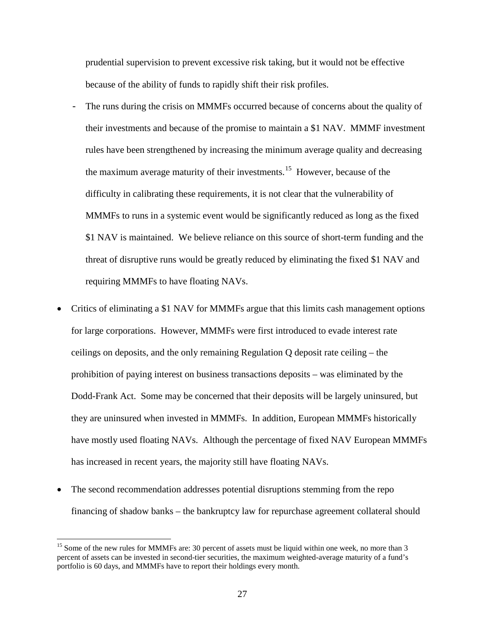prudential supervision to prevent excessive risk taking, but it would not be effective because of the ability of funds to rapidly shift their risk profiles.

- The runs during the crisis on MMMFs occurred because of concerns about the quality of their investments and because of the promise to maintain a \$1 NAV. MMMF investment rules have been strengthened by increasing the minimum average quality and decreasing the maximum average maturity of their investments.<sup>[15](#page-27-0)</sup> However, because of the difficulty in calibrating these requirements, it is not clear that the vulnerability of MMMFs to runs in a systemic event would be significantly reduced as long as the fixed \$1 NAV is maintained. We believe reliance on this source of short-term funding and the threat of disruptive runs would be greatly reduced by eliminating the fixed \$1 NAV and requiring MMMFs to have floating NAVs.
- Critics of eliminating a \$1 NAV for MMMFs argue that this limits cash management options for large corporations. However, MMMFs were first introduced to evade interest rate ceilings on deposits, and the only remaining Regulation Q deposit rate ceiling – the prohibition of paying interest on business transactions deposits – was eliminated by the Dodd-Frank Act. Some may be concerned that their deposits will be largely uninsured, but they are uninsured when invested in MMMFs. In addition, European MMMFs historically have mostly used floating NAVs. Although the percentage of fixed NAV European MMMFs has increased in recent years, the majority still have floating NAVs.
- The second recommendation addresses potential disruptions stemming from the repo financing of shadow banks – the bankruptcy law for repurchase agreement collateral should

<span id="page-27-0"></span><sup>&</sup>lt;sup>15</sup> Some of the new rules for MMMFs are: 30 percent of assets must be liquid within one week, no more than 3 percent of assets can be invested in second-tier securities, the maximum weighted-average maturity of a fund's portfolio is 60 days, and MMMFs have to report their holdings every month.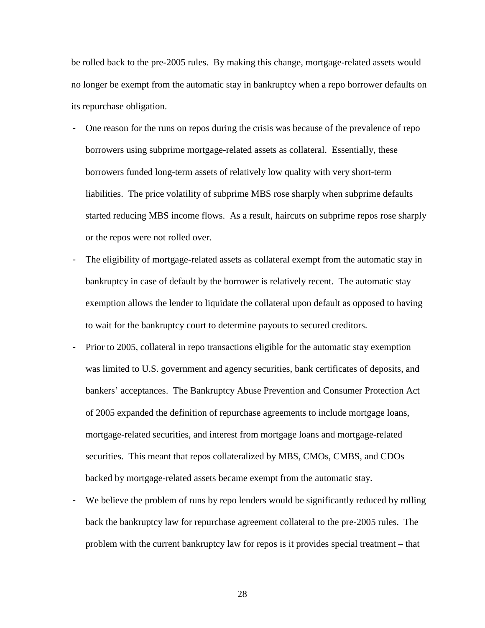be rolled back to the pre-2005 rules. By making this change, mortgage-related assets would no longer be exempt from the automatic stay in bankruptcy when a repo borrower defaults on its repurchase obligation.

- One reason for the runs on repos during the crisis was because of the prevalence of repo borrowers using subprime mortgage-related assets as collateral. Essentially, these borrowers funded long-term assets of relatively low quality with very short-term liabilities. The price volatility of subprime MBS rose sharply when subprime defaults started reducing MBS income flows. As a result, haircuts on subprime repos rose sharply or the repos were not rolled over.
- The eligibility of mortgage-related assets as collateral exempt from the automatic stay in bankruptcy in case of default by the borrower is relatively recent. The automatic stay exemption allows the lender to liquidate the collateral upon default as opposed to having to wait for the bankruptcy court to determine payouts to secured creditors.
- Prior to 2005, collateral in repo transactions eligible for the automatic stay exemption was limited to U.S. government and agency securities, bank certificates of deposits, and bankers' acceptances. The Bankruptcy Abuse Prevention and Consumer Protection Act of 2005 expanded the definition of repurchase agreements to include mortgage loans, mortgage-related securities, and interest from mortgage loans and mortgage-related securities. This meant that repos collateralized by MBS, CMOs, CMBS, and CDOs backed by mortgage-related assets became exempt from the automatic stay.
- We believe the problem of runs by repo lenders would be significantly reduced by rolling back the bankruptcy law for repurchase agreement collateral to the pre-2005 rules. The problem with the current bankruptcy law for repos is it provides special treatment – that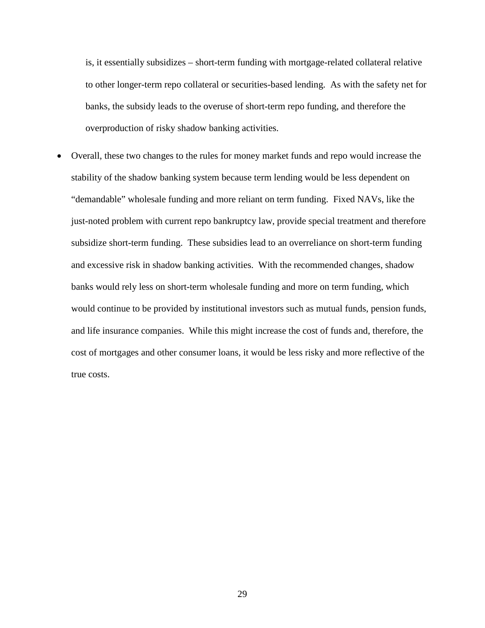is, it essentially subsidizes – short-term funding with mortgage-related collateral relative to other longer-term repo collateral or securities-based lending. As with the safety net for banks, the subsidy leads to the overuse of short-term repo funding, and therefore the overproduction of risky shadow banking activities.

• Overall, these two changes to the rules for money market funds and repo would increase the stability of the shadow banking system because term lending would be less dependent on "demandable" wholesale funding and more reliant on term funding. Fixed NAVs, like the just-noted problem with current repo bankruptcy law, provide special treatment and therefore subsidize short-term funding. These subsidies lead to an overreliance on short-term funding and excessive risk in shadow banking activities. With the recommended changes, shadow banks would rely less on short-term wholesale funding and more on term funding, which would continue to be provided by institutional investors such as mutual funds, pension funds, and life insurance companies. While this might increase the cost of funds and, therefore, the cost of mortgages and other consumer loans, it would be less risky and more reflective of the true costs.